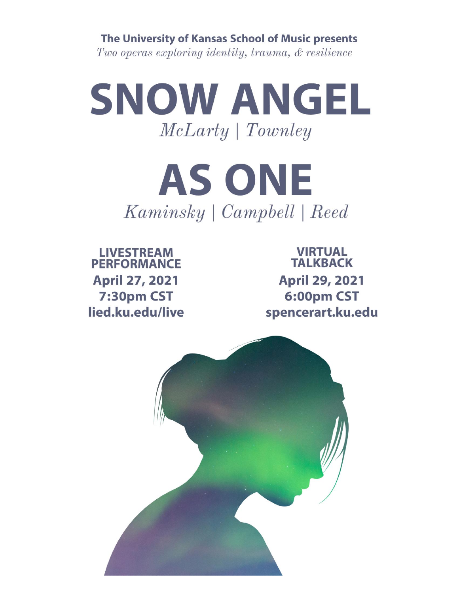The University of Kansas School of Music presents

Two operas exploring identity, trauma, & resilience



**AS ONE** Kaminsky | Campbell | Reed

**LIVESTREAM PERFORMANCE April 27, 2021** 7:30pm CST lied.ku.edu/live

**VIRTUAL TALKBACK April 29, 2021** 6:00pm CST spencerart.ku.edu

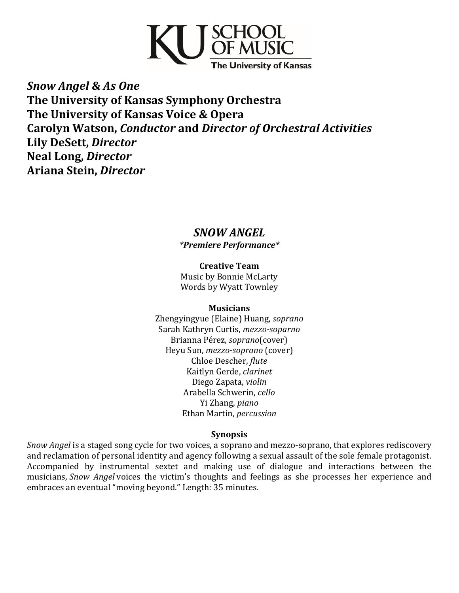

*Snow Angel* **&** *As One* **The University of Kansas Symphony Orchestra The University of Kansas Voice & Opera Carolyn Watson,** *Conductor* **and** *Director of Orchestral Activities* **Lily DeSett,** *Director* **Neal Long,** *Director* **Ariana Stein,** *Director*

## *SNOW ANGEL \*Premiere Performance\**

**Creative Team** Music by Bonnie McLarty Words by Wyatt Townley

#### **Musicians**

Zhengyingyue (Elaine) Huang, *soprano* Sarah Kathryn Curtis, *mezzo-soparno* Brianna Pérez, *soprano*(cover) Heyu Sun, *mezzo-soprano* (cover) Chloe Descher, *flute* Kaitlyn Gerde, *clarinet* Diego Zapata, *violin* Arabella Schwerin, *cello* Yi Zhang, *piano* Ethan Martin, *percussion*

### **Synopsis**

*Snow Angel* is a staged song cycle for two voices, a soprano and mezzo-soprano, that explores rediscovery and reclamation of personal identity and agency following a sexual assault of the sole female protagonist. Accompanied by instrumental sextet and making use of dialogue and interactions between the musicians, *Snow Angel* voices the victim's thoughts and feelings as she processes her experience and embraces an eventual "moving beyond." Length: 35 minutes.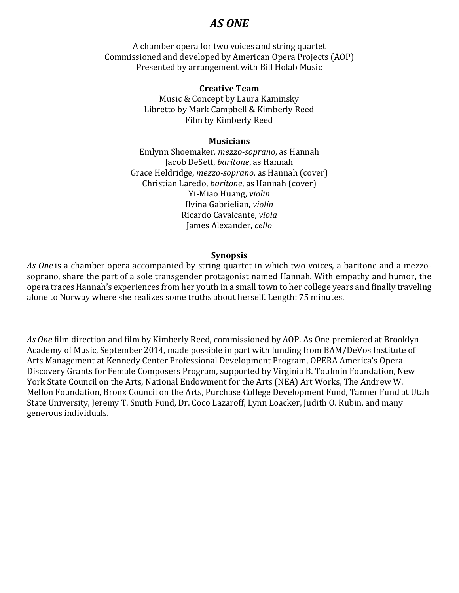# *AS ONE*

A chamber opera for two voices and string quartet Commissioned and developed by American Opera Projects (AOP) Presented by arrangement with Bill Holab Music

#### **Creative Team**

Music & Concept by Laura Kaminsky Libretto by Mark Campbell & Kimberly Reed Film by Kimberly Reed

#### **Musicians**

Emlynn Shoemaker*, mezzo-soprano*, as Hannah Jacob DeSett, *baritone*, as Hannah Grace Heldridge, *mezzo-soprano*, as Hannah (cover) Christian Laredo, *baritone*, as Hannah (cover) Yi-Miao Huang, *violin* Ilvina Gabrielian, *violin* Ricardo Cavalcante, *viola* James Alexander, *cello*

#### **Synopsis**

*As One* is a chamber opera accompanied by string quartet in which two voices, a baritone and a mezzosoprano, share the part of a sole transgender protagonist named Hannah. With empathy and humor, the opera traces Hannah's experiences from her youth in a small town to her college years and finally traveling alone to Norway where she realizes some truths about herself. Length: 75 minutes.

*As One* film direction and film by Kimberly Reed, commissioned by AOP. As One premiered at Brooklyn Academy of Music, September 2014, made possible in part with funding from BAM/DeVos Institute of Arts Management at Kennedy Center Professional Development Program, OPERA America's Opera Discovery Grants for Female Composers Program, supported by Virginia B. Toulmin Foundation, New York State Council on the Arts, National Endowment for the Arts (NEA) Art Works, The Andrew W. Mellon Foundation, Bronx Council on the Arts, Purchase College Development Fund, Tanner Fund at Utah State University, Jeremy T. Smith Fund, Dr. Coco Lazaroff, Lynn Loacker, Judith O. Rubin, and many generous individuals.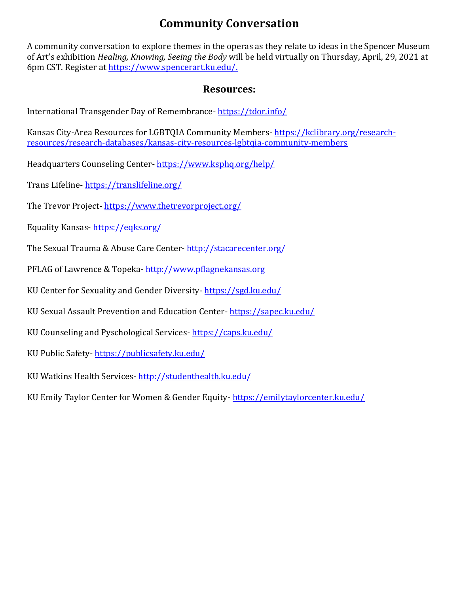# **Community Conversation**

A community conversation to explore themes in the operas as they relate to ideas in the Spencer Museum of Art's exhibition *Healing, Knowing, Seeing the Body* will be held virtually on Thursday, April, 29, 2021 at 6pm CST. Register a[t https://www.spencerart.ku.edu/.](https://www.spencerart.ku.edu/)

## **Resources:**

International Transgender Day of Remembrance- <https://tdor.info/>

Kansas City-Area Resources for LGBTQIA Community Members- [https://kclibrary.org/research](https://kclibrary.org/research-resources/research-databases/kansas-city-resources-lgbtqia-community-members)[resources/research-databases/kansas-city-resources-lgbtqia-community-members](https://kclibrary.org/research-resources/research-databases/kansas-city-resources-lgbtqia-community-members)

Headquarters Counseling Center- <https://www.ksphq.org/help/>

Trans Lifeline-<https://translifeline.org/>

The Trevor Project- <https://www.thetrevorproject.org/>

Equality Kansas- <https://eqks.org/>

The Sexual Trauma & Abuse Care Center- <http://stacarecenter.org/>

PFLAG of Lawrence & Topeka- [http://www.pflagnekansas.org](http://www.pflagnekansas.org/)

KU Center for Sexuality and Gender Diversity- <https://sgd.ku.edu/>

KU Sexual Assault Prevention and Education Center- <https://sapec.ku.edu/>

KU Counseling and Pyschological Services- <https://caps.ku.edu/>

KU Public Safety-<https://publicsafety.ku.edu/>

KU Watkins Health Services- <http://studenthealth.ku.edu/>

KU Emily Taylor Center for Women & Gender Equity- <https://emilytaylorcenter.ku.edu/>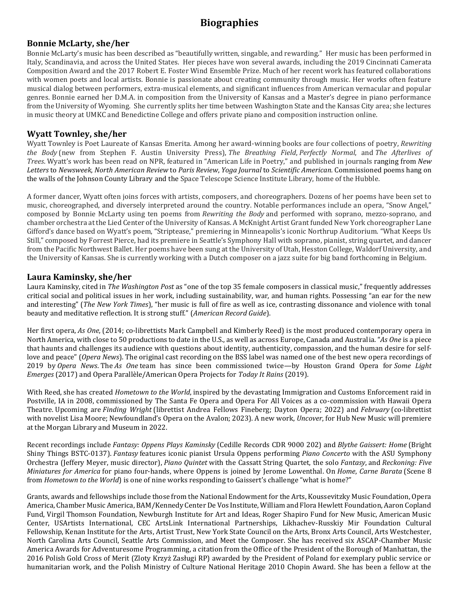# **Biographies**

#### **Bonnie McLarty, she/her**

Bonnie McLarty's music has been described as "beautifully written, singable, and rewarding." Her music has been performed in Italy, Scandinavia, and across the United States. Her pieces have won several awards, including the 2019 Cincinnati Camerata Composition Award and the 2017 Robert E. Foster Wind Ensemble Prize. Much of her recent work has featured collaborations with women poets and local artists. Bonnie is passionate about creating community through music. Her works often feature musical dialog between performers, extra-musical elements, and significant influences from American vernacular and popular genres. Bonnie earned her D.M.A. in composition from the University of Kansas and a Master's degree in piano performance from the University of Wyoming. She currently splits her time between Washington State and the Kansas City area; she lectures in music theory at UMKC and Benedictine College and offers private piano and composition instruction online.

#### **Wyatt Townley, she/her**

Wyatt Townley is Poet Laureate of Kansas Emerita. Among her award-winning books are four collections of poetry, *Rewriting the Body* (new from Stephen F. Austin University Press), *The Breathing Field*, *Perfectly Normal*, and *The Afterlives of Trees*. Wyatt's work has been read on NPR, featured in "American Life in Poetry," and published in journals ranging from *New Letters* to *Newsweek*, *North American Review* to *Paris Review*, *Yoga Journal* to *Scientific American.* Commissioned poems hang on the walls of the Johnson County Library and the Space Telescope Science Institute Library, home of the Hubble.

A former dancer, Wyatt often joins forces with artists, composers, and choreographers. Dozens of her poems have been set to music, choreographed, and diversely interpreted around the country. Notable performances include an opera, "Snow Angel," composed by Bonnie McLarty using ten poems from *Rewriting the Body* and performed with soprano, mezzo-soprano, and chamber orchestra at the Lied Center of the University of Kansas. A McKnight Artist Grant funded New York choreographer Lane Gifford's dance based on Wyatt's poem, "Striptease," premiering in Minneapolis's iconic Northrup Auditorium. "What Keeps Us Still," composed by Forrest Pierce, had its premiere in Seattle's Symphony Hall with soprano, pianist, string quartet, and dancer from the Pacific Northwest Ballet. Her poems have been sung at the University of Utah, Hesston College, Waldorf University, and the University of Kansas. She is currently working with a Dutch composer on a jazz suite for big band forthcoming in Belgium.

#### **Laura Kaminsky, she/her**

Laura Kaminsky, cited in *The Washington Post* as "one of the top 35 female composers in classical music," frequently addresses critical social and political issues in her work, including sustainability, war, and human rights. Possessing "an ear for the new and interesting" (*The New York Times*), "her music is full of fire as well as ice, contrasting dissonance and violence with tonal beauty and meditative reflection. It is strong stuff." (*American Record Guide*).

Her first opera, *As One*, (2014; co-librettists Mark Campbell and Kimberly Reed) is the most produced contemporary opera in North America, with close to 50 productions to date in the U.S., as well as across Europe, Canada and Australia. "*As One* is a piece that haunts and challenges its audience with questions about identity, authenticity, compassion, and the human desire for selflove and peace" (*Opera News*). The original cast recording on the BSS label was named one of the best new opera recordings of 2019 by *Opera News*. The *As One* team has since been commissioned twice—by Houston Grand Opera for *Some Light Emerges* (2017) and Opera Parallèle/American Opera Projects for *Today It Rains* (2019).

With Reed, she has created *Hometown to the World*, inspired by the devastating Immigration and Customs Enforcement raid in Postville, IA in 2008, commissioned by The Santa Fe Opera and Opera For All Voices as a co-commission with Hawaii Opera Theatre. Upcoming are *Finding Wright* (librettist Andrea Fellows Fineberg; Dayton Opera; 2022) and *February* (co-librettist with novelist Lisa Moore; Newfoundland's Opera on the Avalon; 2023). A new work, *Uncover*, for Hub New Music will premiere at the Morgan Library and Museum in 2022.

Recent recordings include *Fantasy: Oppens Plays Kaminsky* (Cedille Records CDR 9000 202) and *Blythe Gaissert: Home* (Bright Shiny Things BSTC-0137). *Fantasy* features iconic pianist Ursula Oppens performing *Piano Concerto* with the ASU Symphony Orchestra (Jeffery Meyer, music director), *Piano Quintet* with the Cassatt String Quartet, the solo *Fantasy*, and *Reckoning: Five Miniatures for America* for piano four-hands, where Oppens is joined by Jerome Lowenthal. On *Home*, *Carne Barata* (Scene 8 from *Hometown to the World*) is one of nine works responding to Gaissert's challenge "what is home?"

Grants, awards and fellowships include those from the National Endowment for the Arts, Koussevitzky Music Foundation, Opera America, Chamber Music America, BAM/Kennedy Center De Vos Institute, William and Flora Hewlett Foundation, Aaron Copland Fund, Virgil Thomson Foundation, Newburgh Institute for Art and Ideas, Roger Shapiro Fund for New Music, American Music Center, USArtists International, CEC ArtsLink International Partnerships, Likhachev-Russkiy Mir Foundation Cultural Fellowship, Kenan Institute for the Arts, Artist Trust, New York State Council on the Arts, Bronx Arts Council, Arts Westchester, North Carolina Arts Council, Seattle Arts Commission, and Meet the Composer. She has received six ASCAP-Chamber Music America Awards for Adventuresome Programming, a citation from the Office of the President of the Borough of Manhattan, the 2016 Polish Gold Cross of Merit (Zloty Krzyż Zasługi RP) awarded by the President of Poland for exemplary public service or humanitarian work, and the Polish Ministry of Culture National Heritage 2010 Chopin Award. She has been a fellow at the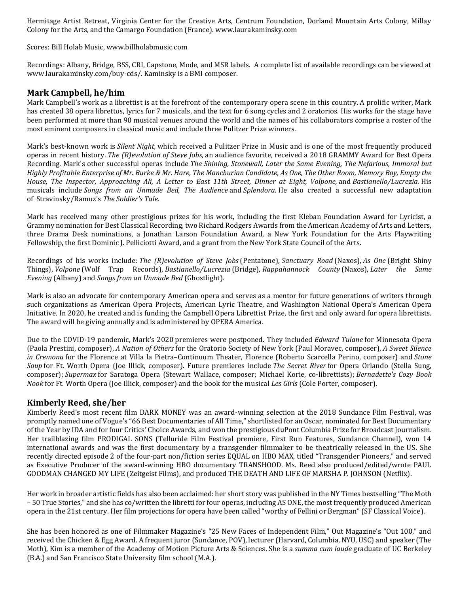Hermitage Artist Retreat, Virginia Center for the Creative Arts, Centrum Foundation, Dorland Mountain Arts Colony, Millay Colony for the Arts, and the Camargo Foundation (France). www.laurakaminsky.com

Scores: Bill Holab Music, www.billholabmusic.com

Recordings: Albany, Bridge, BSS, CRI, Capstone, Mode, and MSR labels. A complete list of available recordings can be viewed at www.laurakaminsky.com/buy-cds/. Kaminsky is a BMI composer.

#### **Mark Campbell, he/him**

Mark Campbell's work as a librettist is at the forefront of the contemporary opera scene in this country. A prolific writer, Mark has created 38 opera librettos, lyrics for 7 musicals, and the text for 6 song cycles and 2 oratorios. His works for the stage have been performed at more than 90 musical venues around the world and the names of his collaborators comprise a roster of the most eminent composers in classical music and include three Pulitzer Prize winners.

Mark's best-known work is *Silent Night,* which received a Pulitzer Prize in Music and is one of the most frequently produced operas in recent history. *The (R)evolution of Steve Jobs,* an audience favorite, received a 2018 GRAMMY Award for Best Opera Recording. Mark's other successful operas include *The Shining, Stonewall, Later the Same Evening, The Nefarious, Immoral but* Highly Profitable Enterprise of Mr. Burke & Mr. Hare, The Manchurian Candidate, As One, The Other Room, Memory Boy, Empty the House, The Inspector, Approaching Ali, A Letter to East 11th Street, Dinner at Eight, Volpone, and Bastianello/Lucrezia. His musicals include *Songs from an Unmade Bed, The Audience* and *Splendora.* He also created a successful new adaptation of Stravinsky/Ramuz's *The Soldier's Tale.*

Mark has received many other prestigious prizes for his work, including the first Kleban Foundation Award for Lyricist, a Grammy nomination for Best Classical Recording, two Richard Rodgers Awards from the American Academy of Arts and Letters, three Drama Desk nominations, a Jonathan Larson Foundation Award, a New York Foundation for the Arts Playwriting Fellowship, the first Dominic J. Pelliciotti Award, and a grant from the New York State Council of the Arts.

Recordings of his works include: *The (R)evolution of Steve Jobs* (Pentatone), *Sanctuary Road* (Naxos), *As One* (Bright Shiny Things), *Volpone* (Wolf Trap Records), *Bastianello/Lucrezia* (Bridge), *Rappahannock County* (Naxos), *Later the Same Evening* (Albany) and *Songs from an Unmade Bed* (Ghostlight).

Mark is also an advocate for contemporary American opera and serves as a mentor for future generations of writers through such organizations as American Opera Projects, American Lyric Theatre, and Washington National Opera's American Opera Initiative. In 2020, he created and is funding the Campbell Opera Librettist Prize, the first and only award for opera librettists. The award will be giving annually and is administered by OPERA America.

Due to the COVID-19 pandemic, Mark's 2020 premieres were postponed. They included *Edward Tulane* for Minnesota Opera (Paola Prestini, composer), *A Nation of Others* for the Oratorio Society of New York (Paul Moravec, composer), *A Sweet Silence in Cremona* for the Florence at Villa la Pietra–Continuum Theater, Florence (Roberto Scarcella Perino, composer) and *Stone Soup* for Ft. Worth Opera (Joe Illick, composer). Future premieres include *The Secret River* for Opera Orlando (Stella Sung, composer); *Supermax* for Saratoga Opera (Stewart Wallace, composer; Michael Korie, co-librettists); *Bernadette's Cozy Book Nook* for Ft. Worth Opera (Joe Illick, composer) and the book for the musical *Les Girls* (Cole Porter, composer).

#### **Kimberly Reed, she/her**

Kimberly Reed's most recent film DARK MONEY was an award-winning selection at the 2018 Sundance Film Festival, was promptly named one of Vogue's "66 Best Documentaries of All Time," shortlisted for an Oscar, nominated for Best Documentary of the Year by IDA and for four Critics' Choice Awards, and won the prestigious duPont Columbia Prize for Broadcast Journalism. Her trailblazing film PRODIGAL SONS (Telluride Film Festival premiere, First Run Features, Sundance Channel), won 14 international awards and was the first documentary by a transgender filmmaker to be theatrically released in the US. She recently directed episode 2 of the four-part non/fiction series EQUAL on HBO MAX, titled "Transgender Pioneers," and served as Executive Producer of the award-winning HBO documentary TRANSHOOD. Ms. Reed also produced/edited/wrote PAUL GOODMAN CHANGED MY LIFE (Zeitgeist Films), and produced THE DEATH AND LIFE OF MARSHA P. JOHNSON (Netflix).

Her work in broader artistic fields has also been acclaimed: her short story was published in the NY Times bestselling "The Moth – 50 True Stories," and she has co/written the libretti for four operas, including AS ONE, the most frequently produced American opera in the 21st century. Her film projections for opera have been called "worthy of Fellini or Bergman" (SF Classical Voice).

She has been honored as one of Filmmaker Magazine's "25 New Faces of Independent Film," Out Magazine's "Out 100," and received the Chicken & Egg Award. A frequent juror (Sundance, POV), lecturer (Harvard, Columbia, NYU, USC) and speaker (The Moth), Kim is a member of the Academy of Motion Picture Arts & Sciences. She is a *summa cum laude* graduate of UC Berkeley (B.A.) and San Francisco State University film school (M.A.).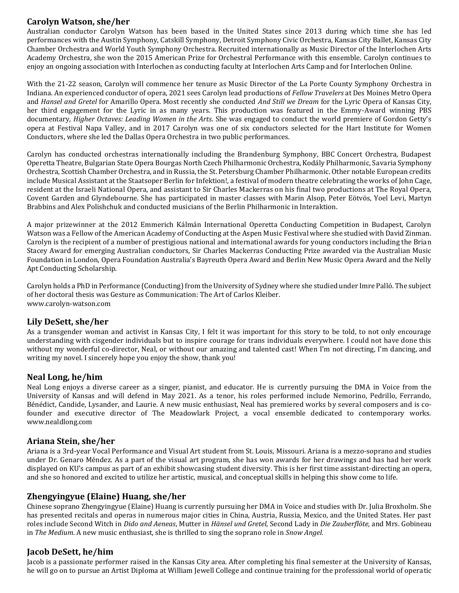#### **Carolyn Watson, she/her**

Australian conductor Carolyn Watson has been based in the United States since 2013 during which time she has led performances with the Austin Symphony, Catskill Symphony, Detroit Symphony Civic Orchestra, Kansas City Ballet, Kansas City Chamber Orchestra and World Youth Symphony Orchestra. Recruited internationally as Music Director of the Interlochen Arts Academy Orchestra, she won the 2015 American Prize for Orchestral Performance with this ensemble. Carolyn continues to enjoy an ongoing association with Interlochen as conducting faculty at Interlochen Arts Camp and for Interlochen Online.

With the 21-22 season, Carolyn will commence her tenure as Music Director of the La Porte County Symphony Orchestra in Indiana. An experienced conductor of opera, 2021 sees Carolyn lead productions of *Fellow Travelers* at Des Moines Metro Opera and *Hansel and Gretel* for Amarillo Opera. Most recently she conducted *And Still we Dream* for the Lyric Opera of Kansas City, her third engagement for the Lyric in as many years. This production was featured in the Emmy-Award winning PBS documentary, *Higher Octaves: Leading Women in the Arts*. She was engaged to conduct the world premiere of Gordon Getty's opera at Festival Napa Valley, and in 2017 Carolyn was one of six conductors selected for the Hart Institute for Women Conductors, where she led the Dallas Opera Orchestra in two public performances.

Carolyn has conducted orchestras internationally including the Brandenburg Symphony, BBC Concert Orchestra, Budapest Operetta Theatre, Bulgarian State Opera Bourgas North Czech Philharmonic Orchestra, Kodály Philharmonic, Savaria Symphony Orchestra, Scottish Chamber Orchestra, and in Russia, the St. Petersburg Chamber Philharmonic. Other notable European credits include Musical Assistant at the Staatsoper Berlin for Infektion!, a festival of modern theatre celebrating the works of John Cage, resident at the Israeli National Opera, and assistant to Sir Charles Mackerras on his final two productions at The Royal Opera, Covent Garden and Glyndebourne. She has participated in master classes with Marin Alsop, Peter Eötvös, Yoel Levi, Martyn Brabbins and Alex Polishchuk and conducted musicians of the Berlin Philharmonic in Interaktion.

A major prizewinner at the 2012 Emmerich Kálmán International Operetta Conducting Competition in Budapest, Carolyn Watson was a Fellow of the American Academy of Conducting at the Aspen Music Festival where she studied with David Zinman. Carolyn is the recipient of a number of prestigious national and international awards for young conductors including the Brian Stacey Award for emerging Australian conductors, Sir Charles Mackerras Conducting Prize awarded via the Australian Music Foundation in London, Opera Foundation Australia's Bayreuth Opera Award and Berlin New Music Opera Award and the Nelly Apt Conducting Scholarship.

Carolyn holds a PhD in Performance (Conducting) from the University of Sydney where she studied under Imre Palló. The subject of her doctoral thesis was Gesture as Communication: The Art of Carlos Kleiber. www.carolyn-watson.com

#### **Lily DeSett, she/her**

As a transgender woman and activist in Kansas City, I felt it was important for this story to be told, to not only encourage understanding with cisgender individuals but to inspire courage for trans individuals everywhere. I could not have done this without my wonderful co-director, Neal, or without our amazing and talented cast! When I'm not directing, I'm dancing, and writing my novel. I sincerely hope you enjoy the show, thank you!

#### **Neal Long, he/him**

Neal Long enjoys a diverse career as a singer, pianist, and educator. He is currently pursuing the DMA in Voice from the University of Kansas and will defend in May 2021. As a tenor, his roles performed include Nemorino, Pedrillo, Ferrando, Bénédict, Candide, Lysander, and Laurie. A new music enthusiast, Neal has premiered works by several composers and is cofounder and executive director of The Meadowlark Project, a vocal ensemble dedicated to contemporary works. www.nealdlong.com

#### **Ariana Stein, she/her**

Ariana is a 3rd-year Vocal Performance and Visual Art student from St. Louis, Missouri. Ariana is a mezzo-soprano and studies under Dr. Genaro Méndez. As a part of the visual art program, she has won awards for her drawings and has had her work displayed on KU's campus as part of an exhibit showcasing student diversity. This is her first time assistant-directing an opera, and she so honored and excited to utilize her artistic, musical, and conceptual skills in helping this show come to life.

#### **Zhengyingyue (Elaine) Huang, she/her**

Chinese soprano Zhengyingyue (Elaine) Huang is currently pursuing her DMA in Voice and studies with Dr. Julia Broxholm. She has presented recitals and operas in numerous major cities in China, Austria, Russia, Mexico, and the United States. Her past roles include Second Witch in *Dido and Aeneas*, Mutter in *Hänsel und Gretel*, Second Lady in *Die Zauberflöte,* and Mrs. Gobineau in *The Medium*. A new music enthusiast, she is thrilled to sing the soprano role in *Snow Angel*.

#### **Jacob DeSett, he/him**

Jacob is a passionate performer raised in the Kansas City area. After completing his final semester at the University of Kansas, he will go on to pursue an Artist Diploma at William Jewell College and continue training for the professional world of operatic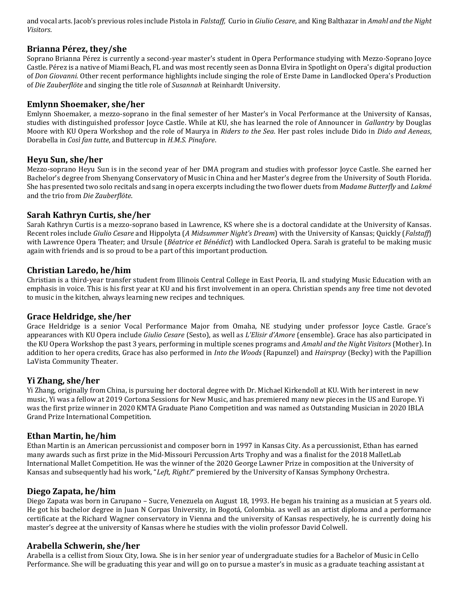and vocal arts. Jacob's previous roles include Pistola in *Falstaff,* Curio in *Giulio Cesare*, and King Balthazar in *Amahl and the Night Visitors*.

#### **Brianna Pérez, they/she**

Soprano Brianna Pérez is currently a second-year master's student in Opera Performance studying with Mezzo-Soprano Joyce Castle. Pérez is a native of Miami Beach, FL and was most recently seen as Donna Elvira in Spotlight on Opera's digital production of *Don Giovanni.* Other recent performance highlights include singing the role of Erste Dame in Landlocked Opera's Production of *Die Zauberflöte* and singing the title role of *Susannah* at Reinhardt University.

#### **Emlynn Shoemaker, she/her**

Emlynn Shoemaker, a mezzo-soprano in the final semester of her Master's in Vocal Performance at the University of Kansas, studies with distinguished professor Joyce Castle. While at KU, she has learned the role of Announcer in *Gallantry* by Douglas Moore with KU Opera Workshop and the role of Maurya in *Riders to the Sea*. Her past roles include Dido in *Dido and Aeneas*, Dorabella in *Così fan tutte*, and Buttercup in *H.M.S. Pinafore*.

#### **Heyu Sun, she/her**

Mezzo-soprano Heyu Sun is in the second year of her DMA program and studies with professor Joyce Castle. She earned her Bachelor's degree from Shenyang Conservatory of Music in China and her Master's degree from the University of South Florida. She has presented two solo recitals and sang in opera excerpts including the two flower duets from *Madame Butterfly* and *Lakmé* and the trio from *Die Zauberflöte*.

#### **Sarah Kathryn Curtis, she/her**

Sarah Kathryn Curtis is a mezzo-soprano based in Lawrence, KS where she is a doctoral candidate at the University of Kansas. Recent roles include *Giulio Cesare* and Hippolyta (*A Midsummer Night's Dream*) with the University of Kansas; Quickly (*Falstaff*) with Lawrence Opera Theater; and Ursule (*Béatrice et Bénédict*) with Landlocked Opera. Sarah is grateful to be making music again with friends and is so proud to be a part of this important production.

#### **Christian Laredo, he/him**

Christian is a third-year transfer student from Illinois Central College in East Peoria, IL and studying Music Education with an emphasis in voice. This is his first year at KU and his first involvement in an opera. Christian spends any free time not devoted to music in the kitchen, always learning new recipes and techniques.

#### **Grace Heldridge, she/her**

Grace Heldridge is a senior Vocal Performance Major from Omaha, NE studying under professor Joyce Castle. Grace's appearances with KU Opera include *Giulio Cesare* (Sesto), as well as *L'Elisir d'Amore* (ensemble). Grace has also participated in the KU Opera Workshop the past 3 years, performing in multiple scenes programs and *Amahl and the Night Visitors* (Mother). In addition to her opera credits, Grace has also performed in *Into the Woods* (Rapunzel) and *Hairspray* (Becky) with the Papillion LaVista Community Theater.

#### **Yi Zhang, she/her**

Yi Zhang, originally from China, is pursuing her doctoral degree with Dr. Michael Kirkendoll at KU. With her interest in new music, Yi was a fellow at 2019 Cortona Sessions for New Music, and has premiered many new pieces in the US and Europe. Yi was the first prize winner in 2020 KMTA Graduate Piano Competition and was named as Outstanding Musician in 2020 IBLA Grand Prize International Competition.

#### **Ethan Martin, he/him**

Ethan Martin is an American percussionist and composer born in 1997 in Kansas City. As a percussionist, Ethan has earned many awards such as first prize in the Mid-Missouri Percussion Arts Trophy and was a finalist for the 2018 MalletLab International Mallet Competition. He was the winner of the 2020 George Lawner Prize in composition at the University of Kansas and subsequently had his work, "*Left, Right?*" premiered by the University of Kansas Symphony Orchestra.

#### **Diego Zapata, he/him**

Diego Zapata was born in Carupano – Sucre, Venezuela on August 18, 1993. He began his training as a musician at 5 years old. He got his bachelor degree in Juan N Corpas University, in Bogotá, Colombia. as well as an artist diploma and a performance certificate at the Richard Wagner conservatory in Vienna and the university of Kansas respectively, he is currently doing his master's degree at the university of Kansas where he studies with the violin professor David Colwell.

#### **Arabella Schwerin, she/her**

Arabella is a cellist from Sioux City, Iowa. She is in her senior year of undergraduate studies for a Bachelor of Music in Cello Performance. She will be graduating this year and will go on to pursue a master's in music as a graduate teaching assistant at